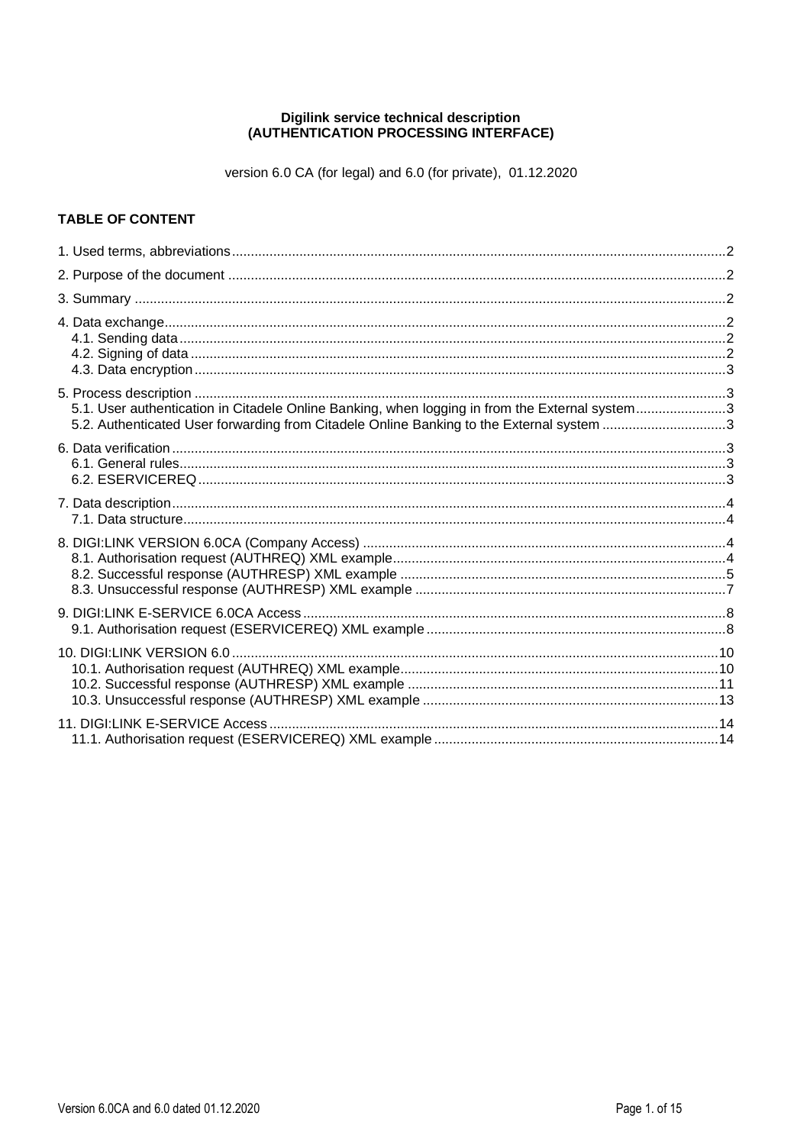# Digilink service technical description<br>(AUTHENTICATION PROCESSING INTERFACE)

version 6.0 CA (for legal) and 6.0 (for private), 01.12.2020

## **TABLE OF CONTENT**

| 5.1. User authentication in Citadele Online Banking, when logging in from the External system3<br>5.2. Authenticated User forwarding from Citadele Online Banking to the External system 3 |  |
|--------------------------------------------------------------------------------------------------------------------------------------------------------------------------------------------|--|
|                                                                                                                                                                                            |  |
|                                                                                                                                                                                            |  |
|                                                                                                                                                                                            |  |
|                                                                                                                                                                                            |  |
|                                                                                                                                                                                            |  |
|                                                                                                                                                                                            |  |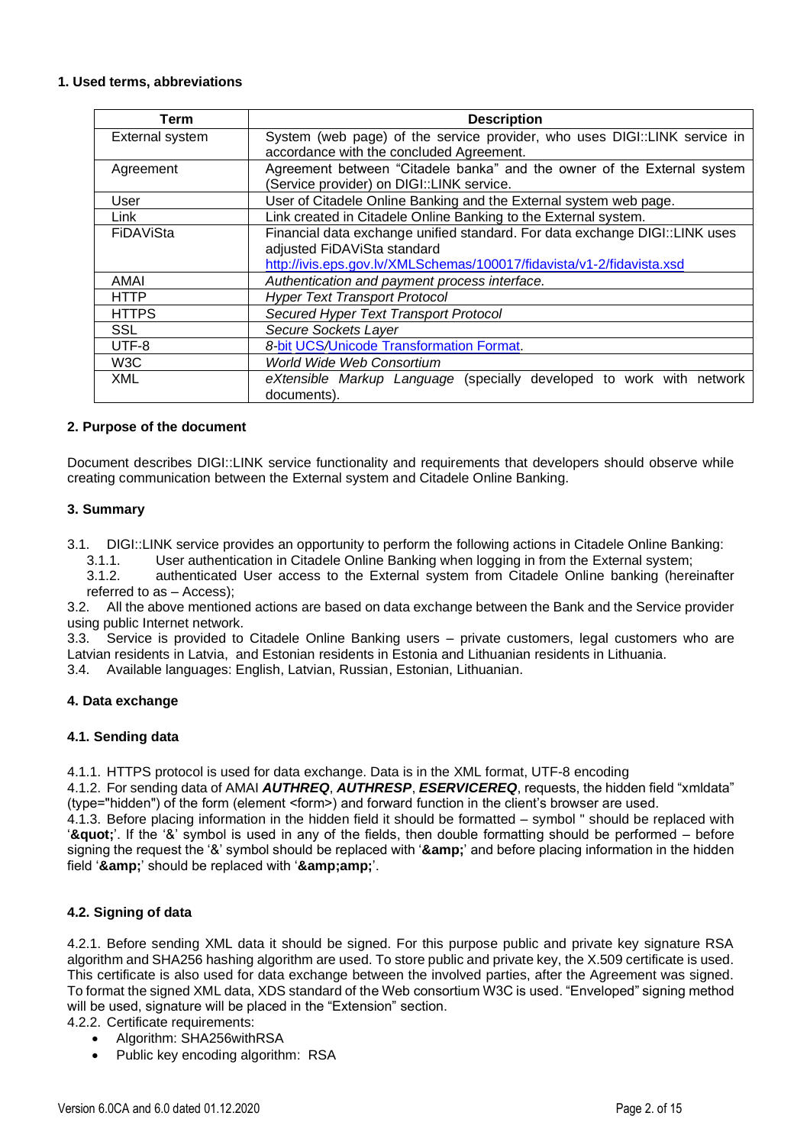#### **1. Used terms, abbreviations**

| Term             | <b>Description</b>                                                          |  |  |  |  |  |  |  |
|------------------|-----------------------------------------------------------------------------|--|--|--|--|--|--|--|
| External system  | System (web page) of the service provider, who uses DIGI::LINK service in   |  |  |  |  |  |  |  |
|                  | accordance with the concluded Agreement.                                    |  |  |  |  |  |  |  |
| Agreement        | Agreement between "Citadele banka" and the owner of the External system     |  |  |  |  |  |  |  |
|                  | (Service provider) on DIGI::LINK service.                                   |  |  |  |  |  |  |  |
| User             | User of Citadele Online Banking and the External system web page.           |  |  |  |  |  |  |  |
| Link             | Link created in Citadele Online Banking to the External system.             |  |  |  |  |  |  |  |
| FiDAViSta        | Financial data exchange unified standard. For data exchange DIGI::LINK uses |  |  |  |  |  |  |  |
|                  | adjusted FiDAViSta standard                                                 |  |  |  |  |  |  |  |
|                  | http://ivis.eps.gov.lv/XMLSchemas/100017/fidavista/v1-2/fidavista.xsd       |  |  |  |  |  |  |  |
| AMAI             | Authentication and payment process interface.                               |  |  |  |  |  |  |  |
| HTTP             | <b>Hyper Text Transport Protocol</b>                                        |  |  |  |  |  |  |  |
| <b>HTTPS</b>     | Secured Hyper Text Transport Protocol                                       |  |  |  |  |  |  |  |
| <b>SSL</b>       | Secure Sockets Layer                                                        |  |  |  |  |  |  |  |
| UTF-8            | 8-bit UCS/Unicode Transformation Format.                                    |  |  |  |  |  |  |  |
| W <sub>3</sub> C | <b>World Wide Web Consortium</b>                                            |  |  |  |  |  |  |  |
| <b>XML</b>       | eXtensible Markup Language (specially developed to work with network        |  |  |  |  |  |  |  |
|                  | documents).                                                                 |  |  |  |  |  |  |  |

#### **2. Purpose of the document**

Document describes DIGI::LINK service functionality and requirements that developers should observe while creating communication between the External system and Citadele Online Banking.

#### **3. Summary**

- 3.1. DIGI::LINK service provides an opportunity to perform the following actions in Citadele Online Banking:
	- 3.1.1. User authentication in Citadele Online Banking when logging in from the External system;
	- 3.1.2. authenticated User access to the External system from Citadele Online banking (hereinafter referred to as – Access);

3.2. All the above mentioned actions are based on data exchange between the Bank and the Service provider using public Internet network.

3.3. Service is provided to Citadele Online Banking users – private customers, legal customers who are Latvian residents in Latvia, and Estonian residents in Estonia and Lithuanian residents in Lithuania.

3.4. Available languages: English, Latvian, Russian, Estonian, Lithuanian.

#### **4. Data exchange**

#### **4.1. Sending data**

4.1.1. HTTPS protocol is used for data exchange. Data is in the XML format, UTF-8 encoding

4.1.2. For sending data of AMAI *AUTHREQ*, *AUTHRESP*, *ESERVICEREQ*, requests, the hidden field "xmldata" (type="hidden") of the form (element <form>) and forward function in the client's browser are used.

4.1.3. Before placing information in the hidden field it should be formatted – symbol " should be replaced with '"'. If the '&' symbol is used in any of the fields, then double formatting should be performed – before signing the request the '&' symbol should be replaced with '**&**' and before placing information in the hidden field '&' should be replaced with '&'.

#### **4.2. Signing of data**

4.2.1. Before sending XML data it should be signed. For this purpose public and private key signature RSA algorithm and SHA256 hashing algorithm are used. To store public and private key, the X.509 certificate is used. This certificate is also used for data exchange between the involved parties, after the Agreement was signed. To format the signed XML data, XDS standard of the Web consortium W3C is used. "Enveloped" signing method will be used, signature will be placed in the "Extension" section.

4.2.2. Certificate requirements:

- Algorithm: SHA256withRSA
- Public key encoding algorithm: RSA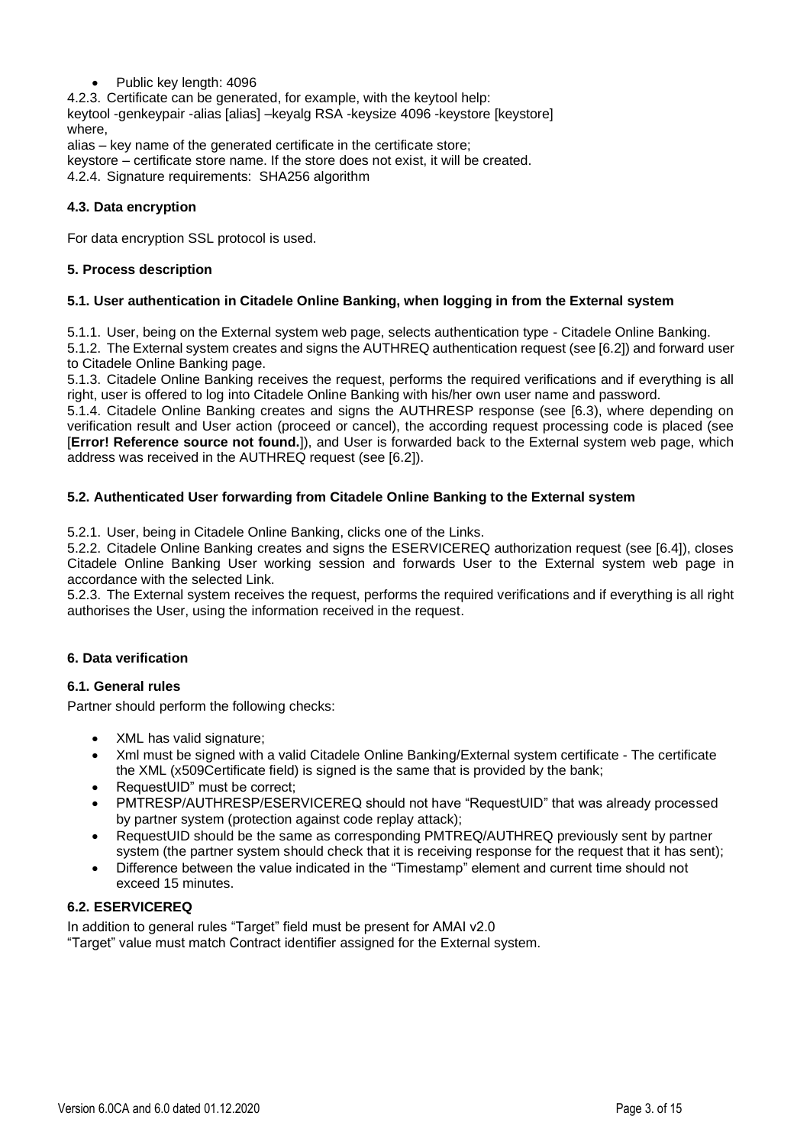• Public key length: 4096

4.2.3. Certificate can be generated, for example, with the keytool help: keytool -genkeypair -alias [alias] –keyalg RSA -keysize 4096 -keystore [keystore] where,

alias – key name of the generated certificate in the certificate store; keystore – certificate store name. If the store does not exist, it will be created. 4.2.4. Signature requirements: SHA256 algorithm

## **4.3. Data encryption**

For data encryption SSL protocol is used.

## **5. Process description**

### **5.1. User authentication in Citadele Online Banking, when logging in from the External system**

5.1.1. User, being on the External system web page, selects authentication type - Citadele Online Banking.

5.1.2. The External system creates and signs the AUTHREQ authentication request (see [6.2]) and forward user to Citadele Online Banking page.

5.1.3. Citadele Online Banking receives the request, performs the required verifications and if everything is all right, user is offered to log into Citadele Online Banking with his/her own user name and password.

5.1.4. Citadele Online Banking creates and signs the AUTHRESP response (see [6.3), where depending on verification result and User action (proceed or cancel), the according request processing code is placed (see [**Error! Reference source not found.**]), and User is forwarded back to the External system web page, which address was received in the AUTHREQ request (see [6.2]).

### **5.2. Authenticated User forwarding from Citadele Online Banking to the External system**

5.2.1. User, being in Citadele Online Banking, clicks one of the Links.

5.2.2. Citadele Online Banking creates and signs the ESERVICEREQ authorization request (see [6.4]), closes Citadele Online Banking User working session and forwards User to the External system web page in accordance with the selected Link.

5.2.3. The External system receives the request, performs the required verifications and if everything is all right authorises the User, using the information received in the request.

## **6. Data verification**

#### **6.1. General rules**

Partner should perform the following checks:

- XML has valid signature;
- Xml must be signed with a valid Citadele Online Banking/External system certificate The certificate the XML (x509Certificate field) is signed is the same that is provided by the bank;
- RequestUID" must be correct:
- PMTRESP/AUTHRESP/ESERVICEREQ should not have "RequestUID" that was already processed by partner system (protection against code replay attack);
- RequestUID should be the same as corresponding PMTREQ/AUTHREQ previously sent by partner system (the partner system should check that it is receiving response for the request that it has sent);
- Difference between the value indicated in the "Timestamp" element and current time should not exceed 15 minutes.

#### **6.2. ESERVICEREQ**

In addition to general rules "Target" field must be present for AMAI v2.0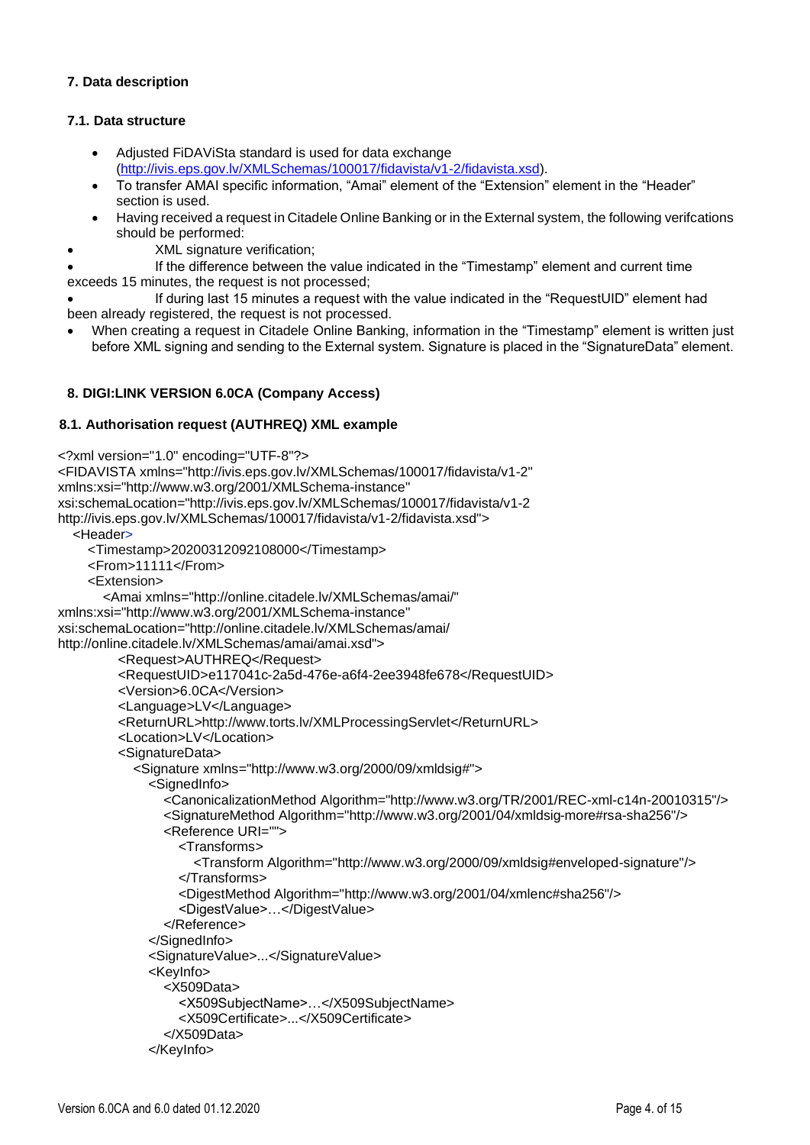### **7. Data description**

### **7.1. Data structure**

- Adjusted FiDAViSta standard is used for data exchange [\(http://ivis.eps.gov.lv/XMLSchemas/100017/fidavista/v1-2/fidavista.xsd\)](http://ivis.eps.gov.lv/XMLSchemas/100017/fidavista/v1-1/fidavista.xsd).
- To transfer AMAI specific information, "Amai" element of the "Extension" element in the "Header" section is used.
- Having received a request in Citadele Online Banking or in the External system, the following verifcations should be performed:
- XML signature verification;

• If the difference between the value indicated in the "Timestamp" element and current time exceeds 15 minutes, the request is not processed;

• If during last 15 minutes a request with the value indicated in the "RequestUID" element had been already registered, the request is not processed.

• When creating a request in Citadele Online Banking, information in the "Timestamp" element is written just before XML signing and sending to the External system. Signature is placed in the "SignatureData" element.

## **8. DIGI:LINK VERSION 6.0CA (Company Access)**

#### **8.1. Authorisation request (AUTHREQ) XML example**

```
<?xml version="1.0" encoding="UTF-8"?>
<FIDAVISTA xmlns="http://ivis.eps.gov.lv/XMLSchemas/100017/fidavista/v1-2"
xmlns:xsi="http://www.w3.org/2001/XMLSchema-instance"
xsi:schemaLocation="http://ivis.eps.gov.lv/XMLSchemas/100017/fidavista/v1-2
http://ivis.eps.gov.lv/XMLSchemas/100017/fidavista/v1-2/fidavista.xsd">
   <Header>
     <Timestamp>20200312092108000</Timestamp>
     <From>11111</From>
     <Extension>
        <Amai xmlns="http://online.citadele.lv/XMLSchemas/amai/"
xmlns:xsi="http://www.w3.org/2001/XMLSchema-instance"
xsi:schemaLocation="http://online.citadele.lv/XMLSchemas/amai/
http://online.citadele.lv/XMLSchemas/amai/amai.xsd">
          <Request>AUTHREQ</Request>
          <RequestUID>e117041c-2a5d-476e-a6f4-2ee3948fe678</RequestUID>
          <Version>6.0CA</Version>
          <Language>LV</Language>
          <ReturnURL>http://www.torts.lv/XMLProcessingServlet</ReturnURL>
          <Location>LV</Location>
          <SignatureData>
            <Signature xmlns="http://www.w3.org/2000/09/xmldsig#">
               <SignedInfo>
                 <CanonicalizationMethod Algorithm="http://www.w3.org/TR/2001/REC-xml-c14n-20010315"/>
                 <SignatureMethod Algorithm="http://www.w3.org/2001/04/xmldsig-more#rsa-sha256"/>
                 <Reference URI="">
                    <Transforms>
                      <Transform Algorithm="http://www.w3.org/2000/09/xmldsig#enveloped-signature"/>
                    </Transforms>
                    <DigestMethod Algorithm="http://www.w3.org/2001/04/xmlenc#sha256"/>
                    <DigestValue>…</DigestValue>
                 </Reference>
               </SignedInfo>
               <SignatureValue>...</SignatureValue>
               <KeyInfo>
                 <X509Data>
                    <X509SubjectName>…</X509SubjectName>
                    <X509Certificate>...</X509Certificate>
                 </X509Data>
               </KeyInfo>
```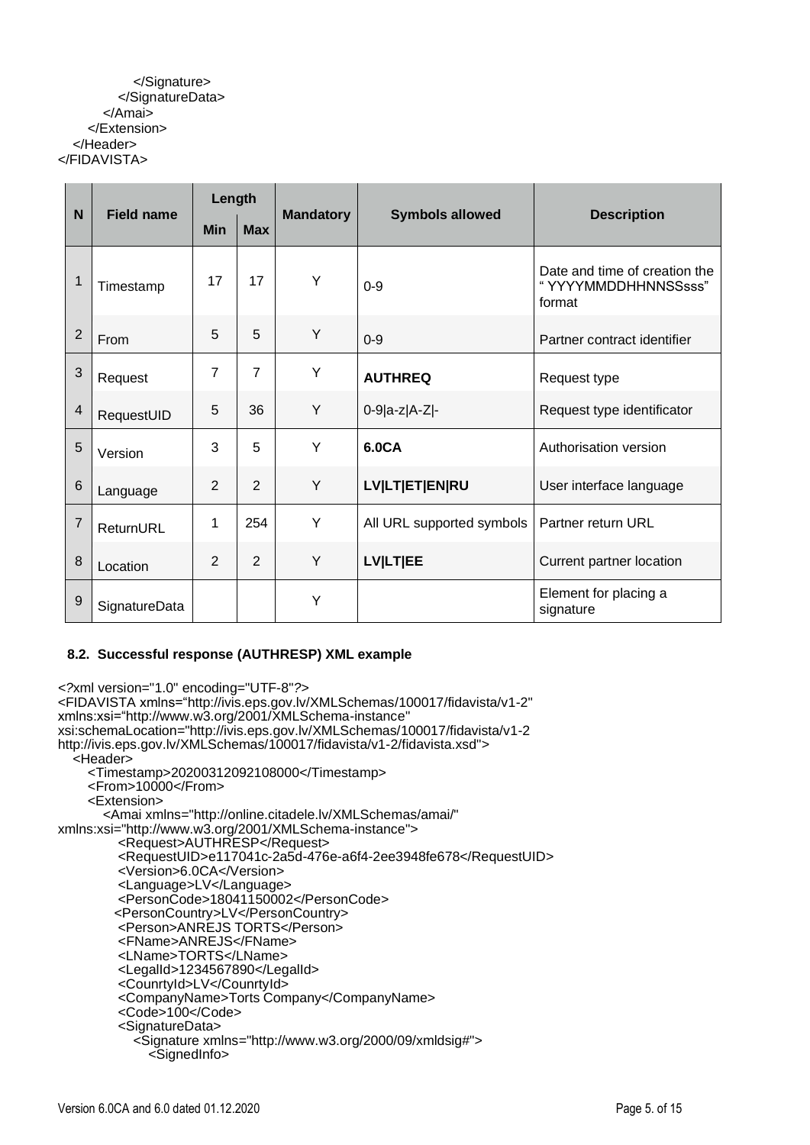#### </Signature> </SignatureData> </Amai> </Extension> </Header> </FIDAVISTA>

| N              | <b>Field name</b> | Length         |                |                  |                           |                                                                |
|----------------|-------------------|----------------|----------------|------------------|---------------------------|----------------------------------------------------------------|
|                |                   | <b>Min</b>     | <b>Max</b>     | <b>Mandatory</b> | <b>Symbols allowed</b>    | <b>Description</b>                                             |
| 1              | Timestamp         | 17             | 17             | Y                | $0 - 9$                   | Date and time of creation the<br>"YYYYMMDDHHNNSSsss"<br>format |
| $\overline{2}$ | From              | 5              | 5              | Y                | $0 - 9$                   | Partner contract identifier                                    |
| 3              | Request           | 7              | $\overline{7}$ | Y                | <b>AUTHREQ</b>            | Request type                                                   |
| 4              | RequestUID        | 5              | 36             | Y                | $0-9 a-z A-Z -$           | Request type identificator                                     |
| 5              | Version           | 3              | 5              | Y                | 6.0CA                     | Authorisation version                                          |
| 6              | Language          | $\overline{2}$ | $\overline{2}$ | Y                | <b>LV LT ET EN RU</b>     | User interface language                                        |
| $\overline{7}$ | ReturnURL         | 1              | 254            | Y                | All URL supported symbols | Partner return URL                                             |
| 8              | Location          | $\overline{2}$ | $\overline{2}$ | Y                | <b>LVILTIEE</b>           | Current partner location                                       |
| $9\,$          | SignatureData     |                |                | Y                |                           | Element for placing a<br>signature                             |

## **8.2. Successful response (AUTHRESP) XML example**

*<?*xml version="1.0" encoding="UTF-8"*?>* <FIDAVISTA xmlns="http://ivis.eps.gov.lv/XMLSchemas/100017/fidavista/v1-2" xmlns:xsi="http://www.w3.org/2001/XMLSchema-instance" xsi:schemaLocation="http://ivis.eps.gov.lv/XMLSchemas/100017/fidavista/v1-2 http://ivis.eps.gov.lv/XMLSchemas/100017/fidavista/v1-2/fidavista.xsd"> <Header> <Timestamp>20200312092108000</Timestamp> <From>10000</From> <Extension> <Amai xmlns="http://online.citadele.lv/XMLSchemas/amai/" xmlns:xsi="http://www.w3.org/2001/XMLSchema-instance"> <Request>AUTHRESP</Request> <RequestUID>e117041c-2a5d-476e-a6f4-2ee3948fe678</RequestUID> <Version>6.0CA</Version> <Language>LV</Language> <PersonCode>18041150002</PersonCode> <PersonCountry>LV</PersonCountry> <Person>ANREJS TORTS</Person> <FName>ANREJS</FName> <LName>TORTS</LName> <LegalId>1234567890</LegalId> <CounrtyId>LV</CounrtyId> <CompanyName>Torts Company</CompanyName> <Code>100</Code> <SignatureData> <Signature xmlns="http://www.w3.org/2000/09/xmldsig#"> <SignedInfo>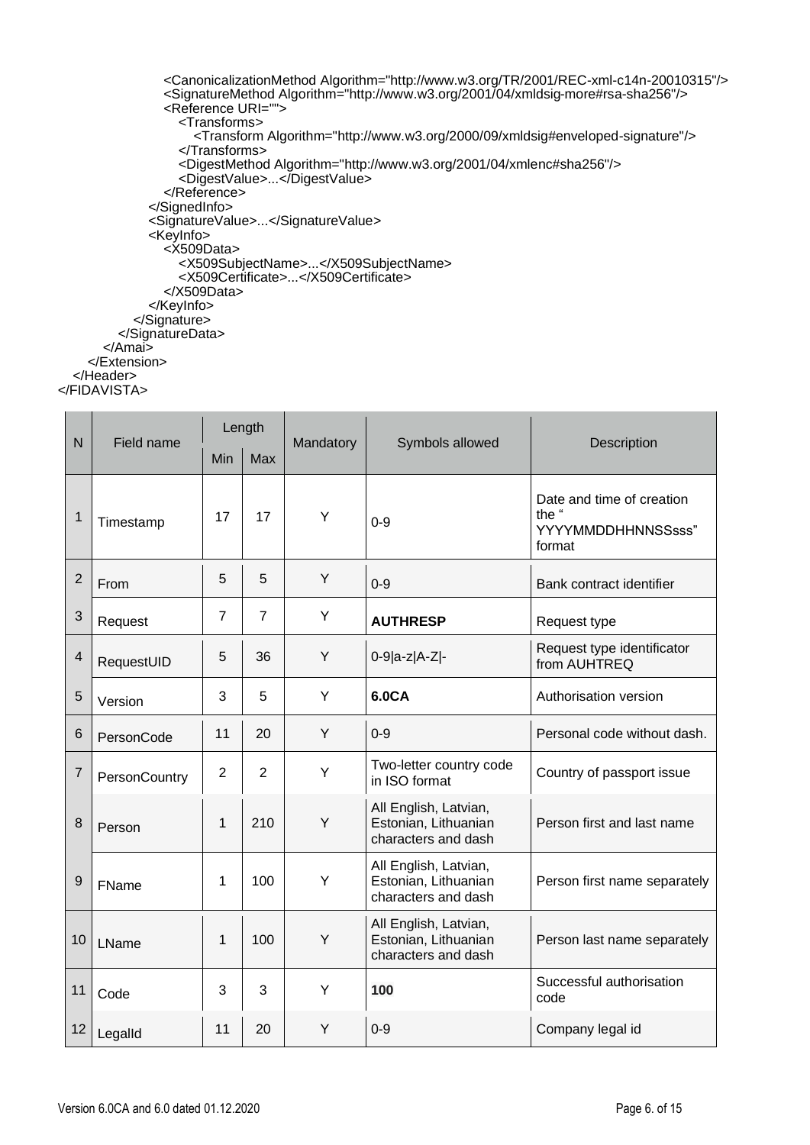```
 <CanonicalizationMethod Algorithm="http://www.w3.org/TR/2001/REC-xml-c14n-20010315"/>
                 <SignatureMethod Algorithm="http://www.w3.org/2001/04/xmldsig-more#rsa-sha256"/>
                 <Reference URI="">
                   <Transforms>
                      <Transform Algorithm="http://www.w3.org/2000/09/xmldsig#enveloped-signature"/>
                   </Transforms>
                  <DigestMethod Algorithm="http://www.w3.org/2001/04/xmlenc#sha256"/>
                  <DigestValue>...</DigestValue>
                 </Reference>
               </SignedInfo>
               <SignatureValue>...</SignatureValue>
               <KeyInfo>
                \overline{\times}X509Data>
 <X509SubjectName>...</X509SubjectName>
                  <X509Certificate>...</X509Certificate>
                 </X509Data>
               </KeyInfo>
            </Signature>
          </SignatureData>
       </Amai>
     </Extension>
   </Header>
```
</FIDAVISTA>

|                         |                   |                | Length         |           |                                                                      |                                                                    |
|-------------------------|-------------------|----------------|----------------|-----------|----------------------------------------------------------------------|--------------------------------------------------------------------|
| $\mathsf{N}$            | <b>Field name</b> | Min            | <b>Max</b>     | Mandatory | Symbols allowed                                                      | Description                                                        |
| $\mathbf{1}$            | Timestamp         | 17             | 17             | Υ         | $0 - 9$                                                              | Date and time of creation<br>the "<br>YYYYMMDDHHNNSSsss"<br>format |
| $\overline{2}$          | From              | 5              | 5              | Y         | $0 - 9$                                                              | Bank contract identifier                                           |
| 3                       | Request           | $\overline{7}$ | $\overline{7}$ | Y         | <b>AUTHRESP</b>                                                      | Request type                                                       |
| $\overline{\mathbf{4}}$ | RequestUID        | 5              | 36             | Y         | 0-9 a-z A-Z -                                                        | Request type identificator<br>from AUHTREQ                         |
| 5                       | Version           | 3              | 5              | Y         | 6.0CA                                                                | Authorisation version                                              |
| 6                       | PersonCode        | 11             | 20             | Y         | $0-9$                                                                | Personal code without dash.                                        |
| $\overline{7}$          | PersonCountry     | $\overline{2}$ | $\overline{2}$ | Y         | Two-letter country code<br>in ISO format                             | Country of passport issue                                          |
| 8                       | Person            | $\mathbf{1}$   | 210            | Y         | All English, Latvian,<br>Estonian, Lithuanian<br>characters and dash | Person first and last name                                         |
| $\mathsf g$             | FName             | 1              | 100            | Y         | All English, Latvian,<br>Estonian, Lithuanian<br>characters and dash | Person first name separately                                       |
| 10                      | LName             | 1              | 100            | Υ         | All English, Latvian,<br>Estonian, Lithuanian<br>characters and dash | Person last name separately                                        |
| 11                      | Code              | 3              | 3              | Y         | 100                                                                  | Successful authorisation<br>code                                   |
| 12                      | Legalld           | 11             | 20             | Y         | $0 - 9$                                                              | Company legal id                                                   |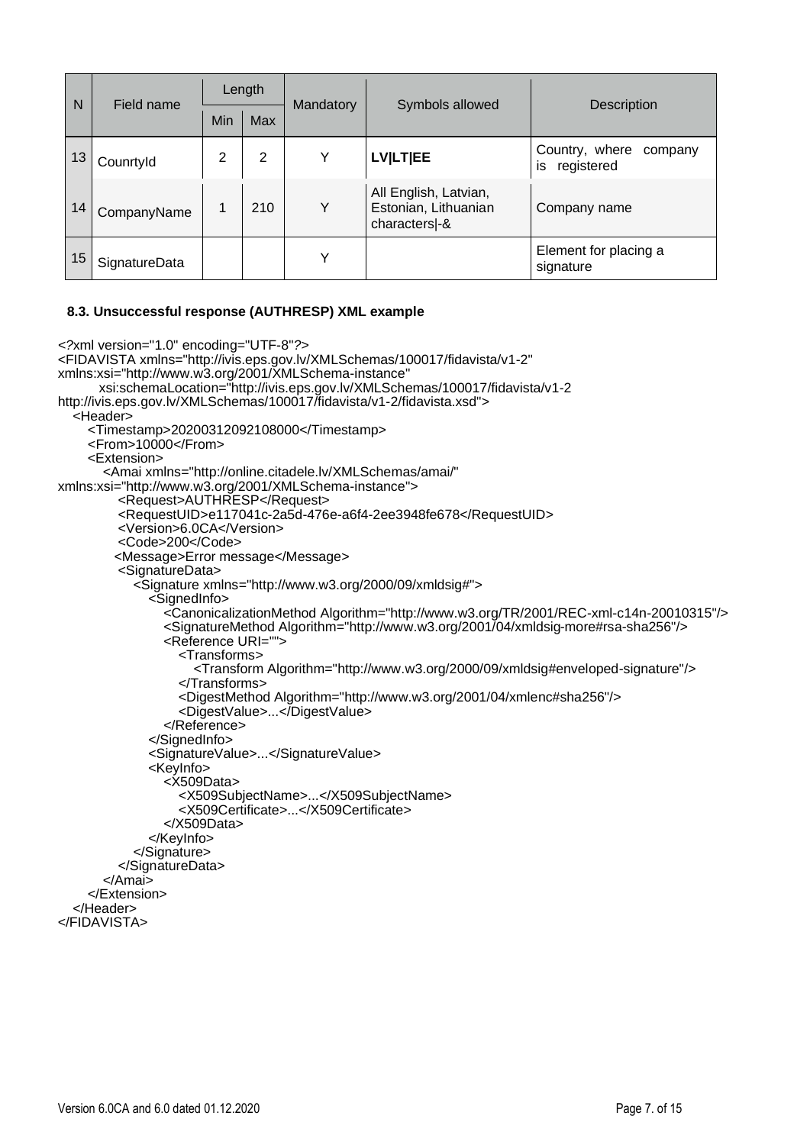| N  | Field name    | Length |            |           |                                                               |                                               |
|----|---------------|--------|------------|-----------|---------------------------------------------------------------|-----------------------------------------------|
|    |               | Min    | <b>Max</b> | Mandatory | Symbols allowed                                               | <b>Description</b>                            |
| 13 | Counrtyld     | 2      | 2          | Y         | <b>LVILTIEE</b>                                               | Country, where<br>company<br>is<br>registered |
| 14 | CompanyName   |        | 210        | Y         | All English, Latvian,<br>Estonian, Lithuanian<br>characters-& | Company name                                  |
| 15 | SignatureData |        |            | Y         |                                                               | Element for placing a<br>signature            |

#### **8.3. Unsuccessful response (AUTHRESP) XML example**

```
<?xml version="1.0" encoding="UTF-8"?>
<FIDAVISTA xmlns="http://ivis.eps.gov.lv/XMLSchemas/100017/fidavista/v1-2"
xmlns:xsi="http://www.w3.org/2001/XMLSchema-instance"
       xsi:schemaLocation="http://ivis.eps.gov.lv/XMLSchemas/100017/fidavista/v1-2
http://ivis.eps.gov.lv/XMLSchemas/100017/fidavista/v1-2/fidavista.xsd">
   <Header>
     <Timestamp>20200312092108000</Timestamp>
    <From>10000</From> <Extension>
        <Amai xmlns="http://online.citadele.lv/XMLSchemas/amai/"
xmlns:xsi="http://www.w3.org/2001/XMLSchema-instance">
          <Request>AUTHRESP</Request>
          <RequestUID>e117041c-2a5d-476e-a6f4-2ee3948fe678</RequestUID>
          <Version>6.0CA</Version>
          <Code>200</Code>
          <Message>Error message</Message>
          <SignatureData>
             <Signature xmlns="http://www.w3.org/2000/09/xmldsig#">
               <SignedInfo>
                 <CanonicalizationMethod Algorithm="http://www.w3.org/TR/2001/REC-xml-c14n-20010315"/>
                 <SignatureMethod Algorithm="http://www.w3.org/2001/04/xmldsig-more#rsa-sha256"/>
                 <Reference URI="">
                    <Transforms>
                      <Transform Algorithm="http://www.w3.org/2000/09/xmldsig#enveloped-signature"/>
                    </Transforms>
                   <DigestMethod Algorithm="http://www.w3.org/2001/04/xmlenc#sha256"/>
                   <DigestValue>...</DigestValue>
                 </Reference>
               </SignedInfo>
               <SignatureValue>...</SignatureValue>
               <KeyInfo>
                 <X509Data>
                    <X509SubjectName>...</X509SubjectName>
                   <X509Certificate>...</X509Certificate>
                 </X509Data>
               </KeyInfo>
             </Signature>
          </SignatureData>
        </Amai>
     </Extension>
   </Header>
</FIDAVISTA>
```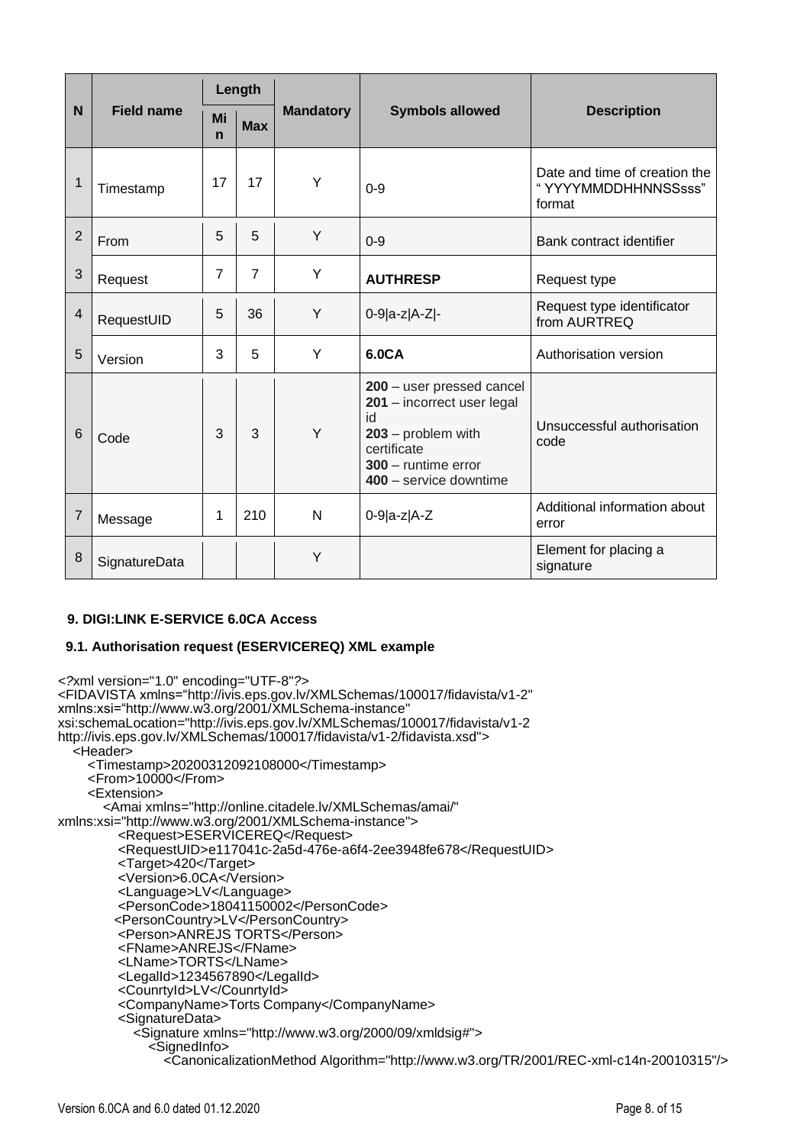|                         |                   |                   | Length         |                  |                                                                                                                                                       |                                                                |
|-------------------------|-------------------|-------------------|----------------|------------------|-------------------------------------------------------------------------------------------------------------------------------------------------------|----------------------------------------------------------------|
| N                       | <b>Field name</b> | Mi<br>$\mathbf n$ | <b>Max</b>     | <b>Mandatory</b> | <b>Symbols allowed</b>                                                                                                                                | <b>Description</b>                                             |
| 1                       | Timestamp         | 17                | 17             | Y                | $0 - 9$                                                                                                                                               | Date and time of creation the<br>"YYYYMMDDHHNNSSsss"<br>format |
| $\overline{2}$          | From              | 5                 | 5              | Y                | $0 - 9$                                                                                                                                               | Bank contract identifier                                       |
| 3                       | Request           | 7                 | $\overline{7}$ | Y                | <b>AUTHRESP</b>                                                                                                                                       | Request type                                                   |
| $\overline{\mathbf{4}}$ | RequestUID        | 5                 | 36             | Y                | 0-9 a-z A-Z -                                                                                                                                         | Request type identificator<br>from AURTREQ                     |
| 5                       | Version           | 3                 | 5              | Υ                | 6.0CA                                                                                                                                                 | Authorisation version                                          |
| 6                       | Code              | 3                 | 3              | Y                | 200 - user pressed cancel<br>201 - incorrect user legal<br>id<br>$203$ – problem with<br>certificate<br>300 - runtime error<br>400 - service downtime | Unsuccessful authorisation<br>code                             |
| 7                       | Message           | 1                 | 210            | $\mathsf{N}$     | $0-9 a-z A-Z$                                                                                                                                         | Additional information about<br>error                          |
| 8                       | SignatureData     |                   |                | Y                |                                                                                                                                                       | Element for placing a<br>signature                             |

#### **9. DIGI:LINK E-SERVICE 6.0CA Access**

#### **9.1. Authorisation request (ESERVICEREQ) XML example**

*<?*xml version="1.0" encoding="UTF-8"*?>* <FIDAVISTA xmlns="http://ivis.eps.gov.lv/XMLSchemas/100017/fidavista/v1-2" xmlns:xsi="http://www.w3.org/2001/XMLSchema-instance" xsi:schemaLocation="http://ivis.eps.gov.lv/XMLSchemas/100017/fidavista/v1-2 http://ivis.eps.gov.lv/XMLSchemas/100017/fidavista/v1-2/fidavista.xsd"> <Header> <Timestamp>20200312092108000</Timestamp> <From>10000</From> <Extension> <Amai xmlns="http://online.citadele.lv/XMLSchemas/amai/" xmlns:xsi="http://www.w3.org/2001/XMLSchema-instance"> <Request>ESERVICEREQ</Request> <RequestUID>e117041c-2a5d-476e-a6f4-2ee3948fe678</RequestUID> <Target>420</Target> <Version>6.0CA</Version> <Language>LV</Language> <PersonCode>18041150002</PersonCode> <PersonCountry>LV</PersonCountry> <Person>ANREJS TORTS</Person> <FName>ANREJS</FName> <LName>TORTS</LName> <LegalId>1234567890</LegalId> <CounrtyId>LV</CounrtyId> <CompanyName>Torts Company</CompanyName> <SignatureData> <Signature xmlns="http://www.w3.org/2000/09/xmldsig#"> <SignedInfo> <CanonicalizationMethod Algorithm="http://www.w3.org/TR/2001/REC-xml-c14n-20010315"/>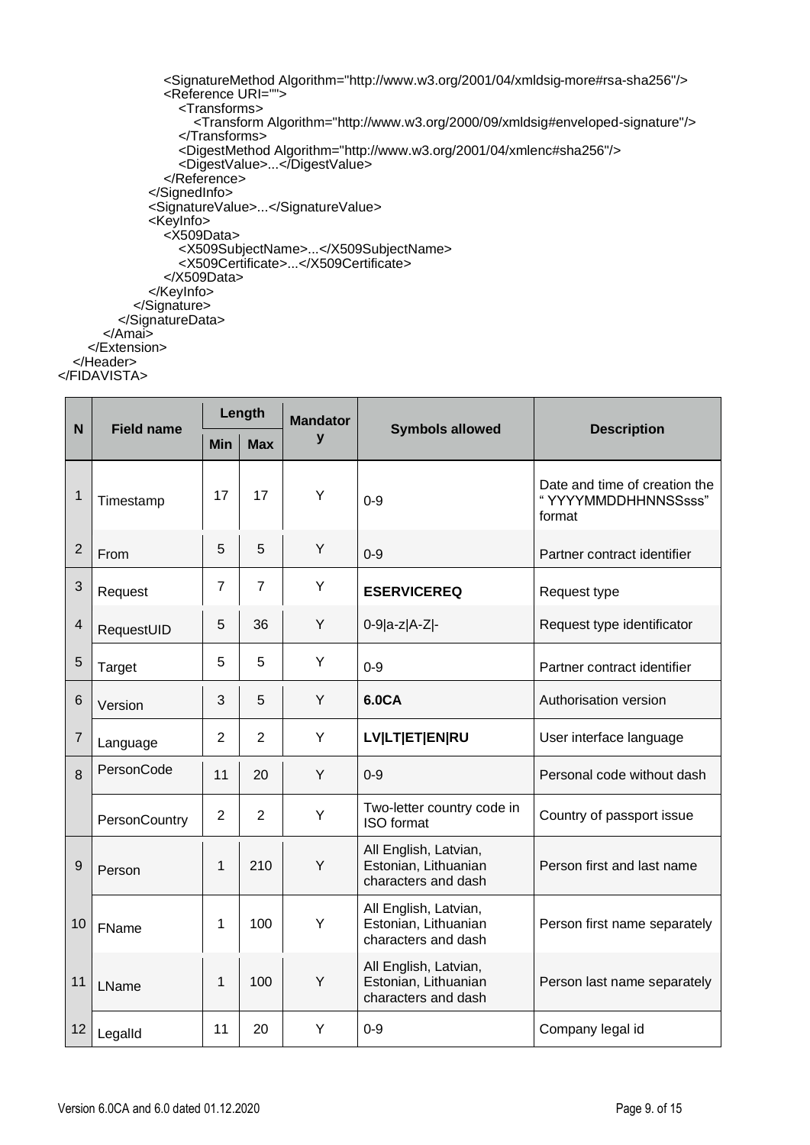```
 <SignatureMethod Algorithm="http://www.w3.org/2001/04/xmldsig-more#rsa-sha256"/>
                 <Reference URI="">
                   <Transforms>
                     <Transform Algorithm="http://www.w3.org/2000/09/xmldsig#enveloped-signature"/>
                   </Transforms>
                  <DigestMethod Algorithm="http://www.w3.org/2001/04/xmlenc#sha256"/>
                   <DigestValue>...</DigestValue>
                 </Reference>
               </SignedInfo>
               <SignatureValue>...</SignatureValue>
               <KeyInfo>
                 <X509Data>
 <X509SubjectName>...</X509SubjectName>
                  <X509Certificate>...</X509Certificate>
                <X509Data> </KeyInfo>
            </Signature>
          </SignatureData>
        </Amai>
     </Extension>
   </Header>
</FIDAVISTA>
```

|                         |                      |                | Length         | <b>Mandator</b> |                                                                      |                                                                |
|-------------------------|----------------------|----------------|----------------|-----------------|----------------------------------------------------------------------|----------------------------------------------------------------|
| N <sub>1</sub>          | <b>Field name</b>    | <b>Min</b>     | <b>Max</b>     | y               | <b>Symbols allowed</b>                                               | <b>Description</b>                                             |
| $\mathbf{1}$            | Timestamp            | 17             | 17             | Y               | $0 - 9$                                                              | Date and time of creation the<br>"YYYYMMDDHHNNSSsss"<br>format |
| $\overline{2}$          | From                 | 5              | 5              | Y               | $0 - 9$                                                              | Partner contract identifier                                    |
| 3                       | Request              | $\overline{7}$ | $\overline{7}$ | Y               | <b>ESERVICEREQ</b>                                                   | Request type                                                   |
| $\overline{\mathbf{4}}$ | RequestUID           | 5              | 36             | Y               | 0-9 a-z A-Z -                                                        | Request type identificator                                     |
| 5                       | Target               | 5              | 5              | Y               | $0-9$                                                                | Partner contract identifier                                    |
| 6                       | Version              | 3              | 5              | Y               | 6.0CA                                                                | Authorisation version                                          |
| $\overline{7}$          | Language             | $\overline{2}$ | $\overline{2}$ | Y               | <b>LV LT ET EN RU</b>                                                | User interface language                                        |
| 8                       | PersonCode           | 11             | 20             | Y               | $0-9$                                                                | Personal code without dash                                     |
|                         | <b>PersonCountry</b> | $\overline{2}$ | $\overline{2}$ | Y               | Two-letter country code in<br><b>ISO</b> format                      | Country of passport issue                                      |
| 9                       | Person               | 1              | 210            | Y               | All English, Latvian,<br>Estonian, Lithuanian<br>characters and dash | Person first and last name                                     |
| 10                      | FName                | 1              | 100            | Y               | All English, Latvian,<br>Estonian, Lithuanian<br>characters and dash | Person first name separately                                   |
| 11                      | LName                | 1              | 100            | Y               | All English, Latvian,<br>Estonian, Lithuanian<br>characters and dash | Person last name separately                                    |
| 12                      | Legalld              | 11             | 20             | Y               | $0 - 9$                                                              | Company legal id                                               |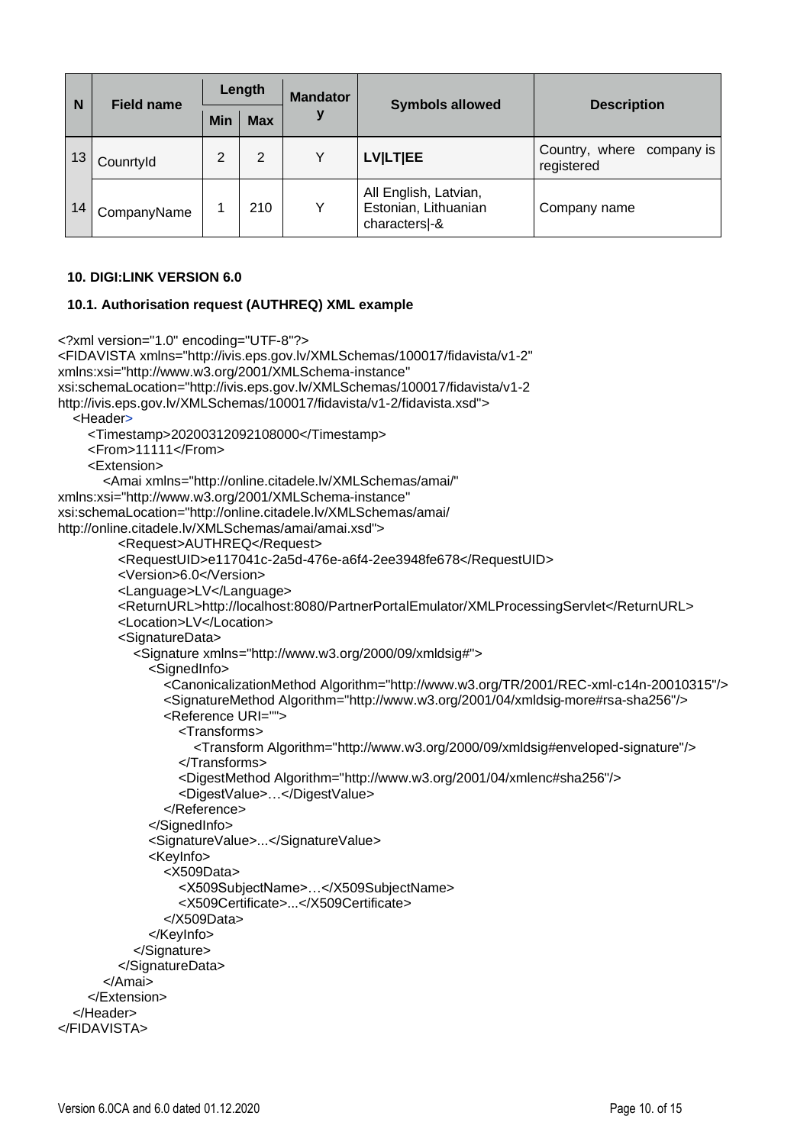| N  | <b>Field name</b> | Length |            | <b>Mandator</b> |                                                               | <b>Description</b>                      |
|----|-------------------|--------|------------|-----------------|---------------------------------------------------------------|-----------------------------------------|
|    |                   | Min    | <b>Max</b> | v               | <b>Symbols allowed</b>                                        |                                         |
| 13 | Counrtyld         | 2      | 2          | Y               | <b>LVILTIEE</b>                                               | Country, where company is<br>registered |
| 14 | CompanyName       |        | 210        | v               | All English, Latvian,<br>Estonian, Lithuanian<br>characters-& | Company name                            |

#### **10. DIGI:LINK VERSION 6.0**

#### **10.1. Authorisation request (AUTHREQ) XML example**

```
<?xml version="1.0" encoding="UTF-8"?>
<FIDAVISTA xmlns="http://ivis.eps.gov.lv/XMLSchemas/100017/fidavista/v1-2"
xmlns:xsi="http://www.w3.org/2001/XMLSchema-instance"
xsi:schemaLocation="http://ivis.eps.gov.lv/XMLSchemas/100017/fidavista/v1-2
http://ivis.eps.gov.lv/XMLSchemas/100017/fidavista/v1-2/fidavista.xsd">
   <Header>
     <Timestamp>20200312092108000</Timestamp>
     <From>11111</From>
     <Extension>
        <Amai xmlns="http://online.citadele.lv/XMLSchemas/amai/"
xmlns:xsi="http://www.w3.org/2001/XMLSchema-instance"
xsi:schemaLocation="http://online.citadele.lv/XMLSchemas/amai/
http://online.citadele.lv/XMLSchemas/amai/amai.xsd">
          <Request>AUTHREQ</Request>
          <RequestUID>e117041c-2a5d-476e-a6f4-2ee3948fe678</RequestUID>
          <Version>6.0</Version>
          <Language>LV</Language>
          <ReturnURL>http://localhost:8080/PartnerPortalEmulator/XMLProcessingServlet</ReturnURL>
          <Location>LV</Location>
          <SignatureData>
            <Signature xmlns="http://www.w3.org/2000/09/xmldsig#">
               <SignedInfo>
                 <CanonicalizationMethod Algorithm="http://www.w3.org/TR/2001/REC-xml-c14n-20010315"/>
                 <SignatureMethod Algorithm="http://www.w3.org/2001/04/xmldsig-more#rsa-sha256"/>
                 <Reference URI="">
                   <Transforms>
                      <Transform Algorithm="http://www.w3.org/2000/09/xmldsig#enveloped-signature"/>
                    </Transforms>
                    <DigestMethod Algorithm="http://www.w3.org/2001/04/xmlenc#sha256"/>
                    <DigestValue>…</DigestValue>
                 </Reference>
               </SignedInfo>
               <SignatureValue>...</SignatureValue>
               <KeyInfo>
                 <X509Data>
                    <X509SubjectName>…</X509SubjectName>
                    <X509Certificate>...</X509Certificate>
                 </X509Data>
               </KeyInfo>
             </Signature>
          </SignatureData>
        </Amai>
     </Extension>
   </Header>
</FIDAVISTA>
```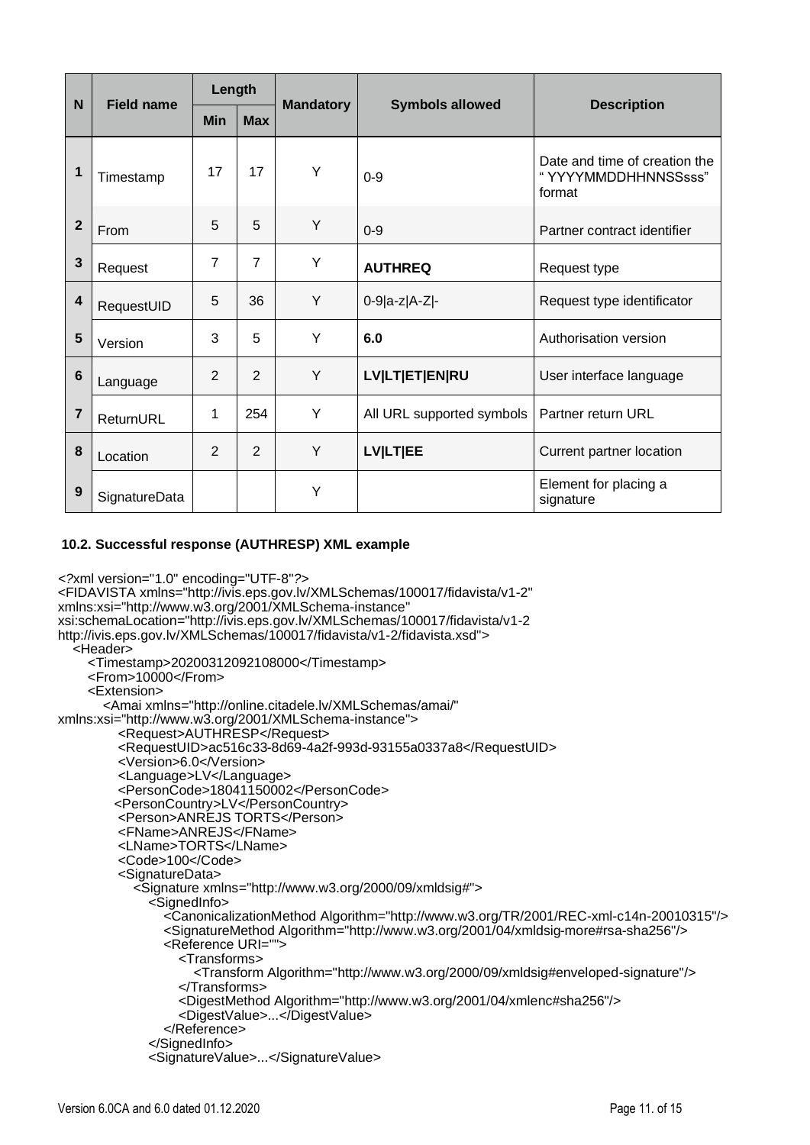| <b>Field name</b><br>N  | Length        |                |                |                  |                           |                                                                |
|-------------------------|---------------|----------------|----------------|------------------|---------------------------|----------------------------------------------------------------|
|                         |               | <b>Min</b>     | <b>Max</b>     | <b>Mandatory</b> | <b>Symbols allowed</b>    | <b>Description</b>                                             |
| 1                       | Timestamp     | 17             | 17             | Υ                | $0 - 9$                   | Date and time of creation the<br>"YYYYMMDDHHNNSSsss"<br>format |
| $\overline{2}$          | From          | 5              | 5              | Y                | $0-9$                     | Partner contract identifier                                    |
| 3                       | Request       | 7              | $\overline{7}$ | Y                | <b>AUTHREQ</b>            | Request type                                                   |
| $\overline{\mathbf{4}}$ | RequestUID    | 5              | 36             | Y                | 0-9 a-z A-Z -             | Request type identificator                                     |
| 5                       | Version       | 3              | 5              | Y                | 6.0                       | Authorisation version                                          |
| $6\phantom{1}6$         | Language      | $\overline{2}$ | $\overline{2}$ | Y                | <b>LV LT ET EN RU</b>     | User interface language                                        |
| 7                       | ReturnURL     | 1              | 254            | Y                | All URL supported symbols | Partner return URL                                             |
| 8                       | Location      | $\overline{2}$ | $\overline{2}$ | Y                | <b>LVILTIEE</b>           | Current partner location                                       |
| 9                       | SignatureData |                |                | Y                |                           | Element for placing a<br>signature                             |

### **10.2. Successful response (AUTHRESP) XML example**

```
<?xml version="1.0" encoding="UTF-8"?>
<FIDAVISTA xmlns="http://ivis.eps.gov.lv/XMLSchemas/100017/fidavista/v1-2"
xmlns:xsi="http://www.w3.org/2001/XMLSchema-instance"
xsi:schemaLocation="http://ivis.eps.gov.lv/XMLSchemas/100017/fidavista/v1-2
http://ivis.eps.gov.lv/XMLSchemas/100017/fidavista/v1-2/fidavista.xsd">
   <Header>
     <Timestamp>20200312092108000</Timestamp>
     <From>10000</From>
     <Extension>
        <Amai xmlns="http://online.citadele.lv/XMLSchemas/amai/"
xmlns:xsi="http://www.w3.org/2001/XMLSchema-instance">
          <Request>AUTHRESP</Request>
          <RequestUID>ac516c33-8d69-4a2f-993d-93155a0337a8</RequestUID>
          <Version>6.0</Version>
          <Language>LV</Language>
          <PersonCode>18041150002</PersonCode>
          <PersonCountry>LV</PersonCountry>
          <Person>ANREJS TORTS</Person>
          <FName>ANREJS</FName>
          <LName>TORTS</LName>
          <Code>100</Code>
          <SignatureData>
            <Signature xmlns="http://www.w3.org/2000/09/xmldsig#">
               <SignedInfo>
                 <CanonicalizationMethod Algorithm="http://www.w3.org/TR/2001/REC-xml-c14n-20010315"/>
                 <SignatureMethod Algorithm="http://www.w3.org/2001/04/xmldsig-more#rsa-sha256"/>
                 <Reference URI="">
                   <Transforms>
                      <Transform Algorithm="http://www.w3.org/2000/09/xmldsig#enveloped-signature"/>
                   </Transforms>
                  <DigestMethod Algorithm="http://www.w3.org/2001/04/xmlenc#sha256"/>
                   <DigestValue>...</DigestValue>
                 </Reference>
               </SignedInfo>
               <SignatureValue>...</SignatureValue>
```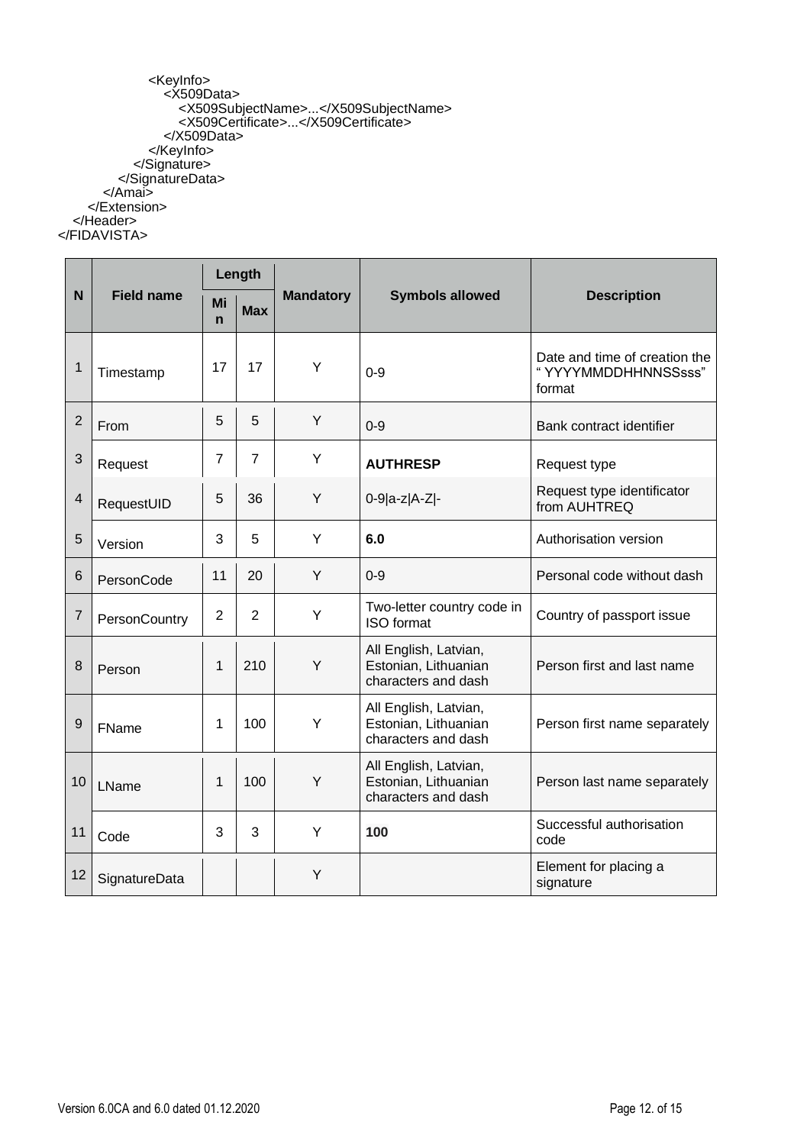<KeyInfo> <X509Data> <X509SubjectName>...</X509SubjectName> <X509Certificate>...</X509Certificate> </X509Data> </KeyInfo> </Signature> </SignatureData> </Amai> </Extension> </Header> </FIDAVISTA>

|                         |                   |                   | Length         |                  |                                                                      |                                                                |
|-------------------------|-------------------|-------------------|----------------|------------------|----------------------------------------------------------------------|----------------------------------------------------------------|
| N                       | <b>Field name</b> | Mi<br>$\mathbf n$ | <b>Max</b>     | <b>Mandatory</b> | <b>Symbols allowed</b>                                               | <b>Description</b>                                             |
| $\mathbf{1}$            | Timestamp         | 17                | 17             | Y                | $0 - 9$                                                              | Date and time of creation the<br>"YYYYMMDDHHNNSSsss"<br>format |
| $\overline{2}$          | From              | 5                 | 5              | Y                | $0 - 9$                                                              | Bank contract identifier                                       |
| 3                       | Request           | 7                 | $\overline{7}$ | Y                | <b>AUTHRESP</b>                                                      | Request type                                                   |
| $\overline{\mathbf{4}}$ | RequestUID        | 5                 | 36             | Y                | 0-9 a-z A-Z -                                                        | Request type identificator<br>from AUHTREQ                     |
| 5                       | Version           | 3                 | 5              | Υ                | 6.0                                                                  | Authorisation version                                          |
| 6                       | PersonCode        | 11                | 20             | Y                | $0 - 9$                                                              | Personal code without dash                                     |
| $\overline{7}$          | PersonCountry     | $\overline{2}$    | 2              | Υ                | Two-letter country code in<br><b>ISO</b> format                      | Country of passport issue                                      |
| 8                       | Person            | 1                 | 210            | Υ                | All English, Latvian,<br>Estonian, Lithuanian<br>characters and dash | Person first and last name                                     |
| 9                       | FName             | 1                 | 100            | Y                | All English, Latvian,<br>Estonian, Lithuanian<br>characters and dash | Person first name separately                                   |
| 10                      | LName             | 1                 | 100            | Y                | All English, Latvian,<br>Estonian, Lithuanian<br>characters and dash | Person last name separately                                    |
| 11                      | Code              | 3                 | 3              | Y                | 100                                                                  | Successful authorisation<br>code                               |
| 12                      | SignatureData     |                   |                | Y                |                                                                      | Element for placing a<br>signature                             |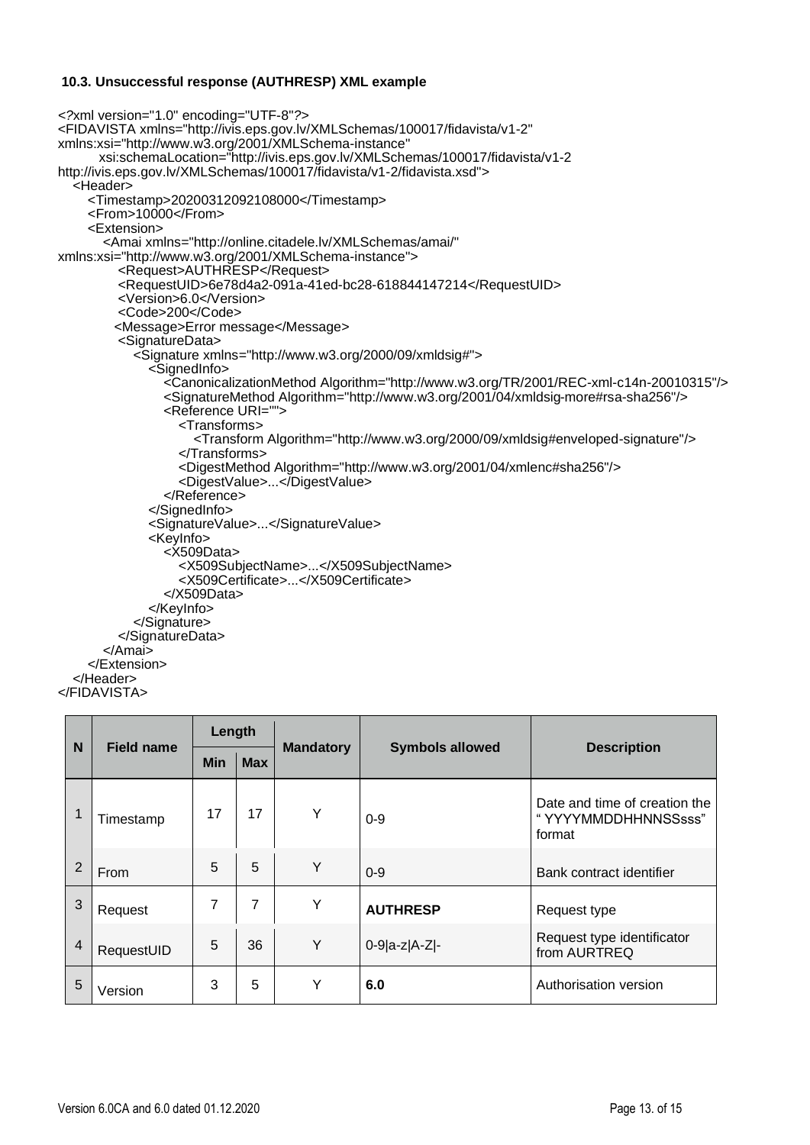#### **10.3. Unsuccessful response (AUTHRESP) XML example**

```
<?xml version="1.0" encoding="UTF-8"?>
<FIDAVISTA xmlns="http://ivis.eps.gov.lv/XMLSchemas/100017/fidavista/v1-2"
xmlns:xsi="http://www.w3.org/2001/XMLSchema-instance"
       xsi:schemaLocation="http://ivis.eps.gov.lv/XMLSchemas/100017/fidavista/v1-2
http://ivis.eps.gov.lv/XMLSchemas/100017/fidavista/v1-2/fidavista.xsd">
   <Header>
     <Timestamp>20200312092108000</Timestamp>
    <From>10000</From> <Extension>
        <Amai xmlns="http://online.citadele.lv/XMLSchemas/amai/"
xmlns:xsi="http://www.w3.org/2001/XMLSchema-instance">
          <Request>AUTHRESP</Request>
          <RequestUID>6e78d4a2-091a-41ed-bc28-618844147214</RequestUID>
          <Version>6.0</Version>
          <Code>200</Code>
          <Message>Error message</Message>
          <SignatureData>
             <Signature xmlns="http://www.w3.org/2000/09/xmldsig#">
               <SignedInfo>
                 <CanonicalizationMethod Algorithm="http://www.w3.org/TR/2001/REC-xml-c14n-20010315"/>
                 <SignatureMethod Algorithm="http://www.w3.org/2001/04/xmldsig-more#rsa-sha256"/>
                 <Reference URI="">
                    <Transforms>
                      <Transform Algorithm="http://www.w3.org/2000/09/xmldsig#enveloped-signature"/>
                    </Transforms>
                   <DigestMethod Algorithm="http://www.w3.org/2001/04/xmlenc#sha256"/>
                    <DigestValue>...</DigestValue>
                 </Reference>
               </SignedInfo>
               <SignatureValue>...</SignatureValue>
               <KeyInfo>
                 <X509Data>
                    <X509SubjectName>...</X509SubjectName>
                   <X509Certificate>...</X509Certificate>
                 </X509Data>
               </KeyInfo>
             </Signature>
          </SignatureData>
        </Amai>
      </Extension>
   </Header>
</FIDAVISTA>
```

| N              |                   | Length     |            |                  |                        |                                                                |
|----------------|-------------------|------------|------------|------------------|------------------------|----------------------------------------------------------------|
|                | <b>Field name</b> | <b>Min</b> | <b>Max</b> | <b>Mandatory</b> | <b>Symbols allowed</b> | <b>Description</b>                                             |
|                | Timestamp         | 17         | 17         | Y                | $0 - 9$                | Date and time of creation the<br>"YYYYMMDDHHNNSSsss"<br>format |
| $\overline{2}$ | From              | 5          | 5          | Y                | $0 - 9$                | Bank contract identifier                                       |
| 3              | Request           | 7          | 7          | Y                | <b>AUTHRESP</b>        | Request type                                                   |
| 4              | RequestUID        | 5          | 36         | Y                | $0-9 a-z A-Z -$        | Request type identificator<br>from AURTREQ                     |
| 5              | Version           | 3          | 5          | Υ                | 6.0                    | Authorisation version                                          |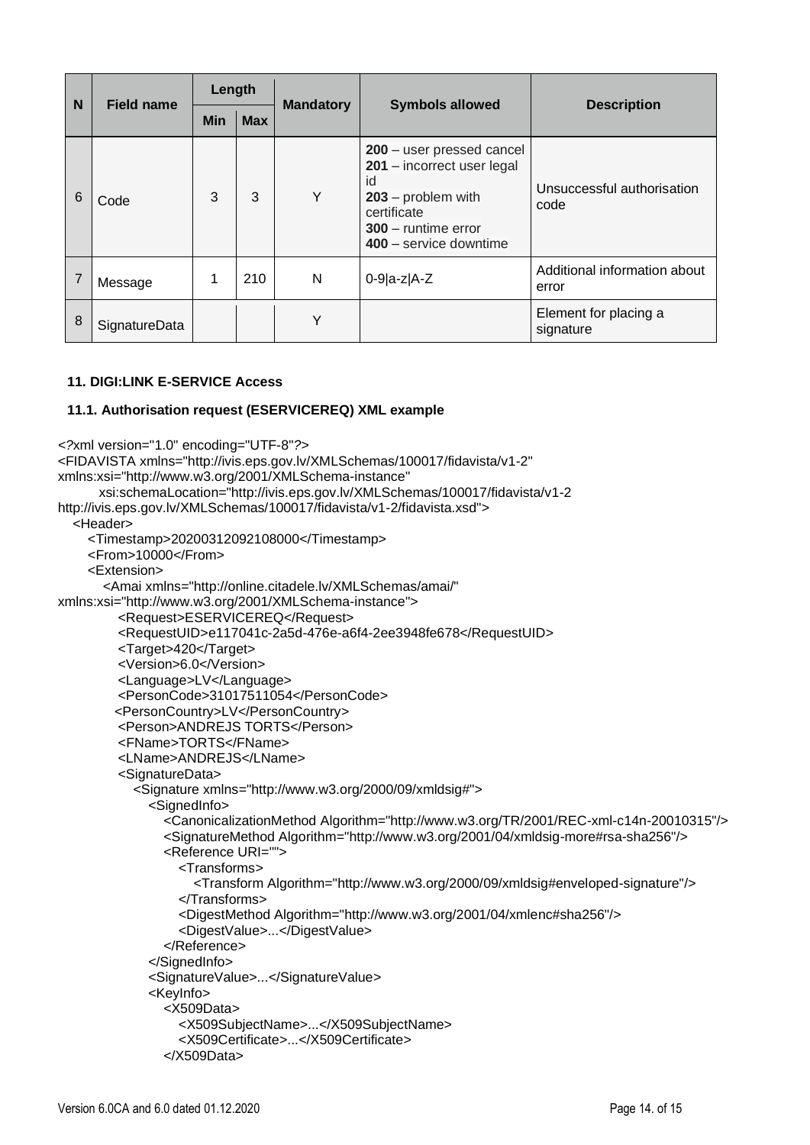| N | Field name    | Length     |            |                  |                                                                                                                                                         |                                       |
|---|---------------|------------|------------|------------------|---------------------------------------------------------------------------------------------------------------------------------------------------------|---------------------------------------|
|   |               | <b>Min</b> | <b>Max</b> | <b>Mandatory</b> | <b>Symbols allowed</b>                                                                                                                                  | <b>Description</b>                    |
| 6 | Code          | 3          | 3          | Υ                | 200 - user pressed cancel<br>201 - incorrect user legal<br>id<br>$203$ – problem with<br>certificate<br>300 - runtime error<br>$400 -$ service downtime | Unsuccessful authorisation<br>code    |
|   | Message       |            | 210        | N                | $0-9 a-z A-Z$                                                                                                                                           | Additional information about<br>error |
| 8 | SignatureData |            |            | Υ                |                                                                                                                                                         | Element for placing a<br>signature    |

#### **11. DIGI:LINK E-SERVICE Access**

#### **11.1. Authorisation request (ESERVICEREQ) XML example**

```
<?xml version="1.0" encoding="UTF-8"?>
<FIDAVISTA xmlns="http://ivis.eps.gov.lv/XMLSchemas/100017/fidavista/v1-2"
xmlns:xsi="http://www.w3.org/2001/XMLSchema-instance"
       xsi:schemaLocation="http://ivis.eps.gov.lv/XMLSchemas/100017/fidavista/v1-2
http://ivis.eps.gov.lv/XMLSchemas/100017/fidavista/v1-2/fidavista.xsd">
   <Header>
     <Timestamp>20200312092108000</Timestamp>
     <From>10000</From>
     <Extension>
        <Amai xmlns="http://online.citadele.lv/XMLSchemas/amai/"
xmlns:xsi="http://www.w3.org/2001/XMLSchema-instance">
          <Request>ESERVICEREQ</Request>
          <RequestUID>e117041c-2a5d-476e-a6f4-2ee3948fe678</RequestUID>
          <Target>420</Target>
          <Version>6.0</Version>
          <Language>LV</Language>
          <PersonCode>31017511054</PersonCode>
          <PersonCountry>LV</PersonCountry>
          <Person>ANDREJS TORTS</Person>
          <FName>TORTS</FName>
          <LName>ANDREJS</LName>
          <SignatureData>
            <Signature xmlns="http://www.w3.org/2000/09/xmldsig#">
               <SignedInfo>
                 <CanonicalizationMethod Algorithm="http://www.w3.org/TR/2001/REC-xml-c14n-20010315"/>
                 <SignatureMethod Algorithm="http://www.w3.org/2001/04/xmldsig-more#rsa-sha256"/>
                 <Reference URI="">
                   <Transforms>
                      <Transform Algorithm="http://www.w3.org/2000/09/xmldsig#enveloped-signature"/>
                   </Transforms>
                   <DigestMethod Algorithm="http://www.w3.org/2001/04/xmlenc#sha256"/>
                   <DigestValue>...</DigestValue>
                 </Reference>
               </SignedInfo>
               <SignatureValue>...</SignatureValue>
               <KeyInfo>
                 <X509Data>
                   <X509SubjectName>...</X509SubjectName>
                   <X509Certificate>...</X509Certificate>
                 </X509Data>
```